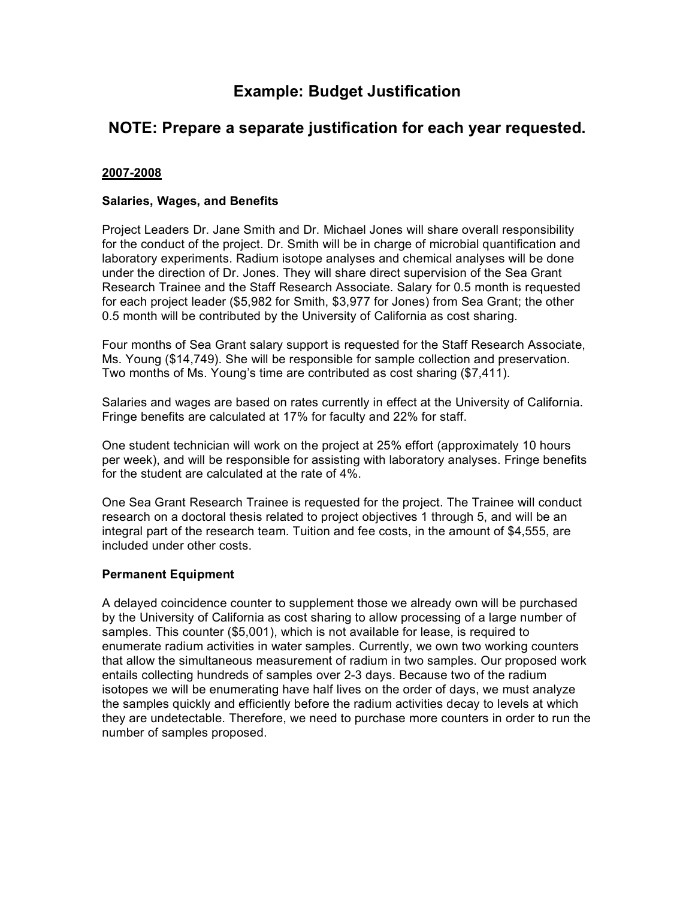# **Example: Budget Justification**

# **NOTE: Prepare a separate justification for each year requested.**

#### **2007-2008**

#### **Salaries, Wages, and Benefits**

Project Leaders Dr. Jane Smith and Dr. Michael Jones will share overall responsibility for the conduct of the project. Dr. Smith will be in charge of microbial quantification and laboratory experiments. Radium isotope analyses and chemical analyses will be done under the direction of Dr. Jones. They will share direct supervision of the Sea Grant Research Trainee and the Staff Research Associate. Salary for 0.5 month is requested for each project leader (\$5,982 for Smith, \$3,977 for Jones) from Sea Grant; the other 0.5 month will be contributed by the University of California as cost sharing.

Four months of Sea Grant salary support is requested for the Staff Research Associate, Ms. Young (\$14,749). She will be responsible for sample collection and preservation. Two months of Ms. Young's time are contributed as cost sharing (\$7,411).

Salaries and wages are based on rates currently in effect at the University of California. Fringe benefits are calculated at 17% for faculty and 22% for staff.

One student technician will work on the project at 25% effort (approximately 10 hours per week), and will be responsible for assisting with laboratory analyses. Fringe benefits for the student are calculated at the rate of 4%.

One Sea Grant Research Trainee is requested for the project. The Trainee will conduct research on a doctoral thesis related to project objectives 1 through 5, and will be an integral part of the research team. Tuition and fee costs, in the amount of \$4,555, are included under other costs.

#### **Permanent Equipment**

A delayed coincidence counter to supplement those we already own will be purchased by the University of California as cost sharing to allow processing of a large number of samples. This counter (\$5,001), which is not available for lease, is required to enumerate radium activities in water samples. Currently, we own two working counters that allow the simultaneous measurement of radium in two samples. Our proposed work entails collecting hundreds of samples over 2-3 days. Because two of the radium isotopes we will be enumerating have half lives on the order of days, we must analyze the samples quickly and efficiently before the radium activities decay to levels at which they are undetectable. Therefore, we need to purchase more counters in order to run the number of samples proposed.